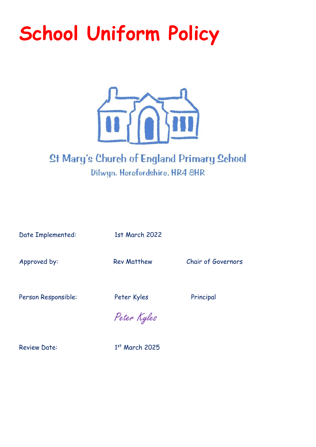# **School Uniform Policy**



## **St Mary's Church of England Primary School** Dilwyn, Herefordshire, HR4 8HR

Date Implemented: 1st March 2022

Approved by: Rev Matthew Chair of Governors

Person Responsible: Peter Kyles Principal

Peter Kyles

Review Date:

 $1<sup>st</sup>$  March 2025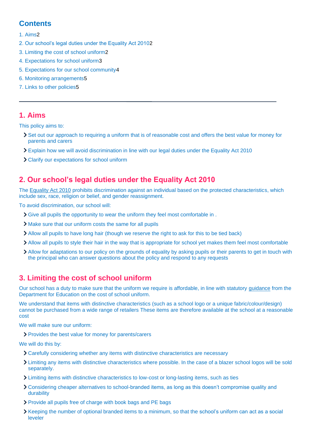## **Contents**

#### [1. Aims2](#page-1-0)

- [2. Our school's legal duties under the Equality Act 20102](#page-1-1)
- [3. Limiting the cost of school uniform2](#page-1-2)
- [4. Expectations for school uniform3](#page-2-0)
- [5. Expectations for our school community4](#page-3-0)
- [6. Monitoring arrangements5](#page-4-0)
- [7. Links to other policies5](#page-4-1)

## <span id="page-1-0"></span>**1. Aims**

This policy aims to:

- Set out our approach to requiring a uniform that is of reasonable cost and offers the best value for money for parents and carers
- Explain how we will avoid discrimination in line with our legal duties under the Equality Act 2010
- Clarify our expectations for school uniform

## <span id="page-1-1"></span>**2. Our school's legal duties under the Equality Act 2010**

The [Equality Act 2010](https://www.legislation.gov.uk/ukpga/2010/15/contents) prohibits discrimination against an individual based on the protected characteristics, which include sex, race, religion or belief, and gender reassignment.

To avoid discrimination, our school will:

- Give all pupils the opportunity to wear the uniform they feel most comfortable in .
- Make sure that our uniform costs the same for all pupils
- Allow all pupils to have long hair (though we reserve the right to ask for this to be tied back)
- Allow all pupils to style their hair in the way that is appropriate for school yet makes them feel most comfortable
- Allow for adaptations to our policy on the grounds of equality by asking pupils or their parents to get in touch with the principal who can answer questions about the policy and respond to any requests

## <span id="page-1-2"></span>**3. Limiting the cost of school uniform**

Our school has a duty to make sure that the uniform we require is affordable, in line with statutory [guidance](https://www.gov.uk/government/publications/cost-of-school-uniforms/cost-of-school-uniforms) from the Department for Education on the cost of school uniform.

We understand that items with distinctive characteristics (such as a school logo or a unique fabric/colour/design) cannot be purchased from a wide range of retailers These items are therefore available at the school at a reasonable cost

We will make sure our uniform:

Provides the best value for money for parents/carers

We will do this by:

- Carefully considering whether any items with distinctive characteristics are necessary
- Limiting any items with distinctive characteristics where possible. In the case of a blazer school logos will be sold separately.
- Limiting items with distinctive characteristics to low-cost or long-lasting items, such as ties
- Considering cheaper alternatives to school-branded items, as long as this doesn't compromise quality and durability
- Provide all pupils free of charge with book bags and PE bags
- Xeeping the number of optional branded items to a minimum, so that the school's uniform can act as a social leveler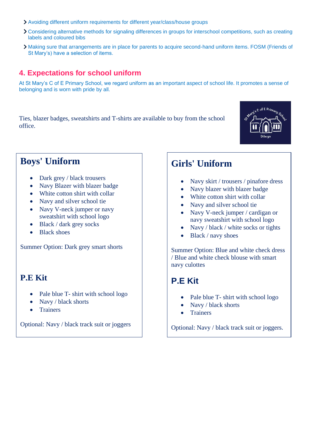- Avoiding different uniform requirements for different year/class/house groups
- Considering alternative methods for signaling differences in groups for interschool competitions, such as creating labels and coloured bibs
- Making sure that arrangements are in place for parents to acquire second-hand uniform items. FOSM (Friends of St Mary's) have a selection of items.

## <span id="page-2-0"></span>**4. Expectations for school uniform**

At St Mary's C of E Primary School, we regard uniform as an important aspect of school life. It promotes a sense of belonging and is worn with pride by all.

Ties, blazer badges, sweatshirts and T-shirts are available to buy from the school office.



## **Boys' Uniform**

- Dark grey / black trousers
- Navy Blazer with blazer badge
- White cotton shirt with collar
- Navy and silver school tie
- Navy V-neck jumper or navy sweatshirt with school logo
- Black / dark grey socks
- **Black shoes**

Summer Option: Dark grey smart shorts

## **P.E Kit**

- Pale blue T- shirt with school logo
- Navy / black shorts
- Trainers

Optional: Navy / black track suit or joggers

## **Girls' Uniform**

- Navy skirt / trousers / pinafore dress
- Navy blazer with blazer badge
- White cotton shirt with collar
- Navy and silver school tie
- Navy V-neck jumper / cardigan or navy sweatshirt with school logo
- Navy / black / white socks or tights
- Black / navy shoes

Summer Option: Blue and white check dress / Blue and white check blouse with smart navy culottes

## **P.E Kit**

- Pale blue T- shirt with school logo
- Navy / black shorts
- **Trainers**

Optional: Navy / black track suit or joggers.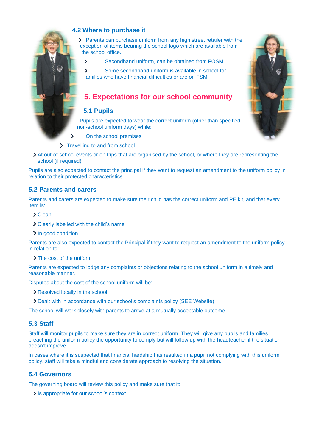

## **4.2 Where to purchase it**

Parents can purchase uniform from any high street retailer with the exception of items bearing the school logo which are available from the school office.

 $\mathbf{\Sigma}$ Secondhand uniform, can be obtained from FOSM

Some secondhand uniform is available in school for  $\overline{\phantom{0}}$ families who have financial difficulties or are on FSM.

## <span id="page-3-0"></span>**5. Expectations for our school community**

#### **5.1 Pupils**

Pupils are expected to wear the correct uniform (other than specified non-school uniform days) while:

- $\overline{\phantom{0}}$ On the school premises
- > Travelling to and from school
- At out-of-school events or on trips that are organised by the school, or where they are representing the school (if required)

Pupils are also expected to contact the principal if they want to request an amendment to the uniform policy in relation to their protected characteristics.

### **5.2 Parents and carers**

Parents and carers are expected to make sure their child has the correct uniform and PE kit, and that every item is:

- Clean
- Clearly labelled with the child's name
- > In good condition

Parents are also expected to contact the Principal if they want to request an amendment to the uniform policy in relation to:

> The cost of the uniform

Parents are expected to lodge any complaints or objections relating to the school uniform in a timely and reasonable manner.

Disputes about the cost of the school uniform will be:

- Resolved locally in the school
- Dealt with in accordance with our school's complaints policy (SEE Website)

The school will work closely with parents to arrive at a mutually acceptable outcome.

#### **5.3 Staff**

Staff will monitor pupils to make sure they are in correct uniform. They will give any pupils and families breaching the uniform policy the opportunity to comply but will follow up with the headteacher if the situation doesn't improve.

In cases where it is suspected that financial hardship has resulted in a pupil not complying with this uniform policy, staff will take a mindful and considerate approach to resolving the situation.

### **5.4 Governors**

The governing board will review this policy and make sure that it:

If  $\sum$  is appropriate for our school's context